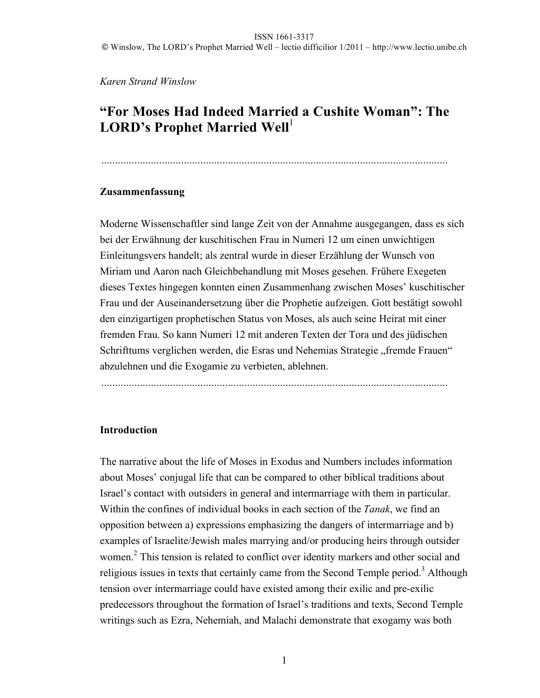*Karen Strand Winslow*

# **"For Moses Had Indeed Married a Cushite Woman": The**  LORD's Prophet Married Well<sup>1</sup>

### **Zusammenfassung**

Moderne Wissenschaftler sind lange Zeit von der Annahme ausgegangen, dass es sich bei der Erwähnung der kuschitischen Frau in Numeri 12 um einen unwichtigen Einleitungsvers handelt; als zentral wurde in dieser Erzählung der Wunsch von Miriam und Aaron nach Gleichbehandlung mit Moses gesehen. Frühere Exegeten dieses Textes hingegen konnten einen Zusammenhang zwischen Moses' kuschitischer Frau und der Auseinandersetzung über die Prophetie aufzeigen. Gott bestätigt sowohl den einzigartigen prophetischen Status von Moses, als auch seine Heirat mit einer fremden Frau. So kann Numeri 12 mit anderen Texten der Tora und des jüdischen Schrifttums verglichen werden, die Esras und Nehemias Strategie "fremde Frauen" abzulehnen und die Exogamie zu verbieten, ablehnen.

..............................................................................................................................

### **Introduction**

The narrative about the life of Moses in Exodus and Numbers includes information about Moses' conjugal life that can be compared to other biblical traditions about Israel's contact with outsiders in general and intermarriage with them in particular. Within the confines of individual books in each section of the *Tanak*, we find an opposition between a) expressions emphasizing the dangers of intermarriage and b) examples of Israelite/Jewish males marrying and/or producing heirs through outsider women.<sup>2</sup> This tension is related to conflict over identity markers and other social and religious issues in texts that certainly came from the Second Temple period.<sup>3</sup> Although tension over intermarriage could have existed among their exilic and pre-exilic predecessors throughout the formation of Israel's traditions and texts, Second Temple writings such as Ezra, Nehemiah, and Malachi demonstrate that exogamy was both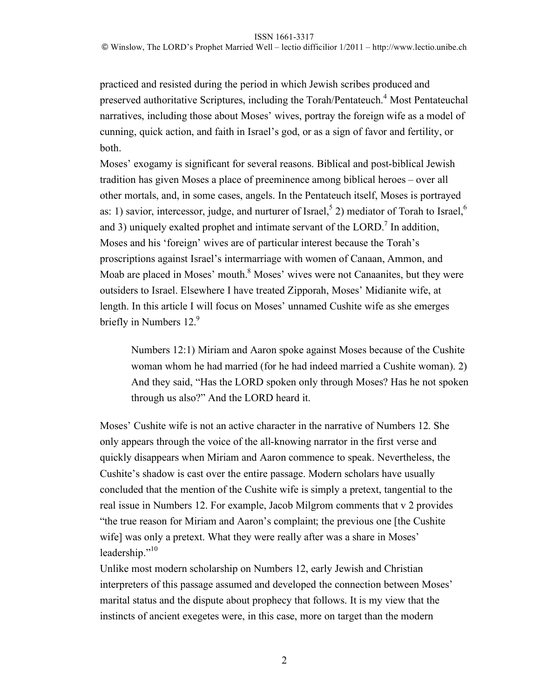practiced and resisted during the period in which Jewish scribes produced and preserved authoritative Scriptures, including the Torah/Pentateuch.<sup>4</sup> Most Pentateuchal narratives, including those about Moses' wives, portray the foreign wife as a model of cunning, quick action, and faith in Israel's god, or as a sign of favor and fertility, or both.

Moses' exogamy is significant for several reasons. Biblical and post-biblical Jewish tradition has given Moses a place of preeminence among biblical heroes – over all other mortals, and, in some cases, angels. In the Pentateuch itself, Moses is portrayed as: 1) savior, intercessor, judge, and nurturer of Israel,<sup>5</sup> 2) mediator of Torah to Israel,<sup>6</sup> and 3) uniquely exalted prophet and intimate servant of the LORD.<sup>7</sup> In addition, Moses and his 'foreign' wives are of particular interest because the Torah's proscriptions against Israel's intermarriage with women of Canaan, Ammon, and Moab are placed in Moses' mouth. $8$  Moses' wives were not Canaanites, but they were outsiders to Israel. Elsewhere I have treated Zipporah, Moses' Midianite wife, at length. In this article I will focus on Moses' unnamed Cushite wife as she emerges briefly in Numbers 12.<sup>9</sup>

Numbers 12:1) Miriam and Aaron spoke against Moses because of the Cushite woman whom he had married (for he had indeed married a Cushite woman). 2) And they said, "Has the LORD spoken only through Moses? Has he not spoken through us also?" And the LORD heard it.

Moses' Cushite wife is not an active character in the narrative of Numbers 12. She only appears through the voice of the all-knowing narrator in the first verse and quickly disappears when Miriam and Aaron commence to speak. Nevertheless, the Cushite's shadow is cast over the entire passage. Modern scholars have usually concluded that the mention of the Cushite wife is simply a pretext, tangential to the real issue in Numbers 12. For example, Jacob Milgrom comments that v 2 provides "the true reason for Miriam and Aaron's complaint; the previous one [the Cushite wife] was only a pretext. What they were really after was a share in Moses' leadership."<sup>10</sup>

Unlike most modern scholarship on Numbers 12, early Jewish and Christian interpreters of this passage assumed and developed the connection between Moses' marital status and the dispute about prophecy that follows. It is my view that the instincts of ancient exegetes were, in this case, more on target than the modern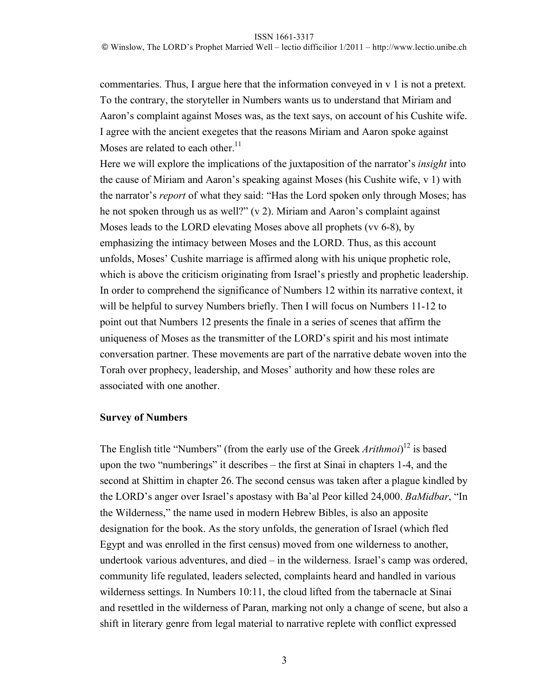#### ISSN 1661-3317

commentaries. Thus, I argue here that the information conveyed in v 1 is not a pretext. To the contrary, the storyteller in Numbers wants us to understand that Miriam and Aaron's complaint against Moses was, as the text says, on account of his Cushite wife. I agree with the ancient exegetes that the reasons Miriam and Aaron spoke against Moses are related to each other. $11$ 

Here we will explore the implications of the juxtaposition of the narrator's *insight* into the cause of Miriam and Aaron's speaking against Moses (his Cushite wife, v 1) with the narrator's *report* of what they said: "Has the Lord spoken only through Moses; has he not spoken through us as well?" (v 2). Miriam and Aaron's complaint against Moses leads to the LORD elevating Moses above all prophets (vv 6-8), by emphasizing the intimacy between Moses and the LORD. Thus, as this account unfolds, Moses' Cushite marriage is affirmed along with his unique prophetic role, which is above the criticism originating from Israel's priestly and prophetic leadership. In order to comprehend the significance of Numbers 12 within its narrative context, it will be helpful to survey Numbers briefly. Then I will focus on Numbers 11-12 to point out that Numbers 12 presents the finale in a series of scenes that affirm the uniqueness of Moses as the transmitter of the LORD's spirit and his most intimate conversation partner. These movements are part of the narrative debate woven into the Torah over prophecy, leadership, and Moses' authority and how these roles are associated with one another.

### **Survey of Numbers**

The English title "Numbers" (from the early use of the Greek *Arithmoi*) 12 is based upon the two "numberings" it describes – the first at Sinai in chapters 1-4, and the second at Shittim in chapter 26. The second census was taken after a plague kindled by the LORD's anger over Israel's apostasy with Ba'al Peor killed 24,000. *BaMidbar*, "In the Wilderness," the name used in modern Hebrew Bibles, is also an apposite designation for the book. As the story unfolds, the generation of Israel (which fled Egypt and was enrolled in the first census) moved from one wilderness to another, undertook various adventures, and died – in the wilderness. Israel's camp was ordered, community life regulated, leaders selected, complaints heard and handled in various wilderness settings. In Numbers 10:11, the cloud lifted from the tabernacle at Sinai and resettled in the wilderness of Paran, marking not only a change of scene, but also a shift in literary genre from legal material to narrative replete with conflict expressed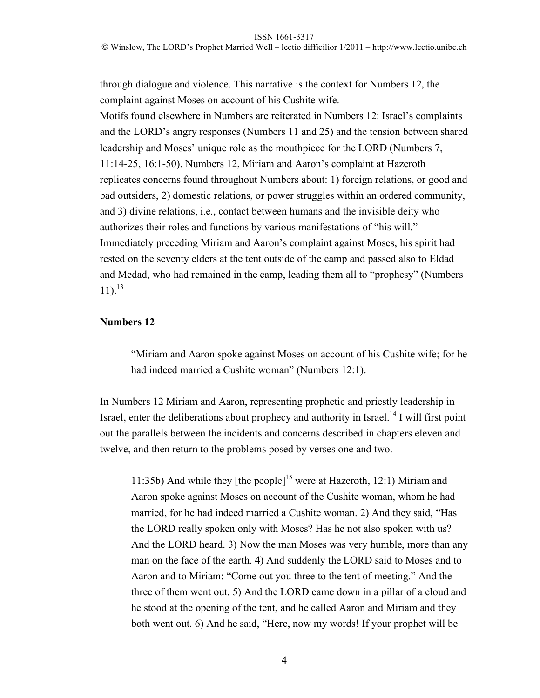ISSN 1661-3317

© Winslow, The LORD's Prophet Married Well – lectio difficilior 1/2011 – http://www.lectio.unibe.ch

through dialogue and violence. This narrative is the context for Numbers 12, the complaint against Moses on account of his Cushite wife.

Motifs found elsewhere in Numbers are reiterated in Numbers 12: Israel's complaints and the LORD's angry responses (Numbers 11 and 25) and the tension between shared leadership and Moses' unique role as the mouthpiece for the LORD (Numbers 7, 11:14-25, 16:1-50). Numbers 12, Miriam and Aaron's complaint at Hazeroth replicates concerns found throughout Numbers about: 1) foreign relations, or good and bad outsiders, 2) domestic relations, or power struggles within an ordered community, and 3) divine relations, i.e., contact between humans and the invisible deity who authorizes their roles and functions by various manifestations of "his will." Immediately preceding Miriam and Aaron's complaint against Moses, his spirit had rested on the seventy elders at the tent outside of the camp and passed also to Eldad and Medad, who had remained in the camp, leading them all to "prophesy" (Numbers  $11$ ).<sup>13</sup>

# **Numbers 12**

"Miriam and Aaron spoke against Moses on account of his Cushite wife; for he had indeed married a Cushite woman" (Numbers 12:1).

In Numbers 12 Miriam and Aaron, representing prophetic and priestly leadership in Israel, enter the deliberations about prophecy and authority in Israel.<sup>14</sup> I will first point out the parallels between the incidents and concerns described in chapters eleven and twelve, and then return to the problems posed by verses one and two.

11:35b) And while they [the people]<sup>15</sup> were at Hazeroth, 12:1) Miriam and Aaron spoke against Moses on account of the Cushite woman, whom he had married, for he had indeed married a Cushite woman. 2) And they said, "Has the LORD really spoken only with Moses? Has he not also spoken with us? And the LORD heard. 3) Now the man Moses was very humble, more than any man on the face of the earth. 4) And suddenly the LORD said to Moses and to Aaron and to Miriam: "Come out you three to the tent of meeting." And the three of them went out. 5) And the LORD came down in a pillar of a cloud and he stood at the opening of the tent, and he called Aaron and Miriam and they both went out. 6) And he said, "Here, now my words! If your prophet will be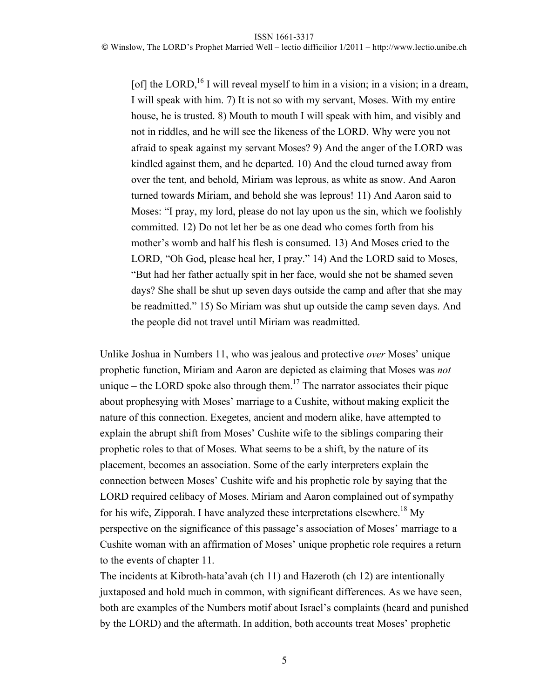[of] the LORD,<sup>16</sup> I will reveal myself to him in a vision; in a vision; in a dream, I will speak with him. 7) It is not so with my servant, Moses. With my entire house, he is trusted. 8) Mouth to mouth I will speak with him, and visibly and not in riddles, and he will see the likeness of the LORD. Why were you not afraid to speak against my servant Moses? 9) And the anger of the LORD was kindled against them, and he departed. 10) And the cloud turned away from over the tent, and behold, Miriam was leprous, as white as snow. And Aaron turned towards Miriam, and behold she was leprous! 11) And Aaron said to Moses: "I pray, my lord, please do not lay upon us the sin, which we foolishly committed. 12) Do not let her be as one dead who comes forth from his mother's womb and half his flesh is consumed. 13) And Moses cried to the LORD, "Oh God, please heal her, I pray." 14) And the LORD said to Moses, "But had her father actually spit in her face, would she not be shamed seven days? She shall be shut up seven days outside the camp and after that she may be readmitted." 15) So Miriam was shut up outside the camp seven days. And the people did not travel until Miriam was readmitted.

Unlike Joshua in Numbers 11, who was jealous and protective *over* Moses' unique prophetic function, Miriam and Aaron are depicted as claiming that Moses was *not* unique – the LORD spoke also through them.<sup>17</sup> The narrator associates their pique about prophesying with Moses' marriage to a Cushite, without making explicit the nature of this connection. Exegetes, ancient and modern alike, have attempted to explain the abrupt shift from Moses' Cushite wife to the siblings comparing their prophetic roles to that of Moses. What seems to be a shift, by the nature of its placement, becomes an association. Some of the early interpreters explain the connection between Moses' Cushite wife and his prophetic role by saying that the LORD required celibacy of Moses. Miriam and Aaron complained out of sympathy for his wife, Zipporah. I have analyzed these interpretations elsewhere.<sup>18</sup> My perspective on the significance of this passage's association of Moses' marriage to a Cushite woman with an affirmation of Moses' unique prophetic role requires a return to the events of chapter 11.

The incidents at Kibroth-hata'avah (ch 11) and Hazeroth (ch 12) are intentionally juxtaposed and hold much in common, with significant differences. As we have seen, both are examples of the Numbers motif about Israel's complaints (heard and punished by the LORD) and the aftermath. In addition, both accounts treat Moses' prophetic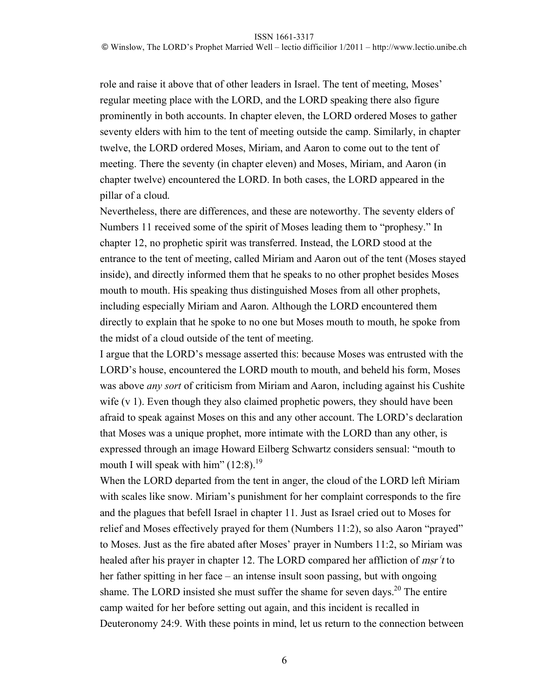role and raise it above that of other leaders in Israel. The tent of meeting, Moses' regular meeting place with the LORD, and the LORD speaking there also figure prominently in both accounts. In chapter eleven, the LORD ordered Moses to gather seventy elders with him to the tent of meeting outside the camp. Similarly, in chapter twelve, the LORD ordered Moses, Miriam, and Aaron to come out to the tent of meeting. There the seventy (in chapter eleven) and Moses, Miriam, and Aaron (in chapter twelve) encountered the LORD. In both cases, the LORD appeared in the pillar of a cloud.

Nevertheless, there are differences, and these are noteworthy. The seventy elders of Numbers 11 received some of the spirit of Moses leading them to "prophesy." In chapter 12, no prophetic spirit was transferred. Instead, the LORD stood at the entrance to the tent of meeting, called Miriam and Aaron out of the tent (Moses stayed inside), and directly informed them that he speaks to no other prophet besides Moses mouth to mouth. His speaking thus distinguished Moses from all other prophets, including especially Miriam and Aaron. Although the LORD encountered them directly to explain that he spoke to no one but Moses mouth to mouth, he spoke from the midst of a cloud outside of the tent of meeting.

I argue that the LORD's message asserted this: because Moses was entrusted with the LORD's house, encountered the LORD mouth to mouth, and beheld his form, Moses was above *any sort* of criticism from Miriam and Aaron, including against his Cushite wife (v 1). Even though they also claimed prophetic powers, they should have been afraid to speak against Moses on this and any other account. The LORD's declaration that Moses was a unique prophet, more intimate with the LORD than any other, is expressed through an image Howard Eilberg Schwartz considers sensual: "mouth to mouth I will speak with him"  $(12:8)$ .<sup>19</sup>

When the LORD departed from the tent in anger, the cloud of the LORD left Miriam with scales like snow. Miriam's punishment for her complaint corresponds to the fire and the plagues that befell Israel in chapter 11. Just as Israel cried out to Moses for relief and Moses effectively prayed for them (Numbers 11:2), so also Aaron "prayed" to Moses. Just as the fire abated after Moses' prayer in Numbers 11:2, so Miriam was healed after his prayer in chapter 12. The LORD compared her affliction of  $msr't$  to her father spitting in her face – an intense insult soon passing, but with ongoing shame. The LORD insisted she must suffer the shame for seven days.<sup>20</sup> The entire camp waited for her before setting out again, and this incident is recalled in Deuteronomy 24:9. With these points in mind, let us return to the connection between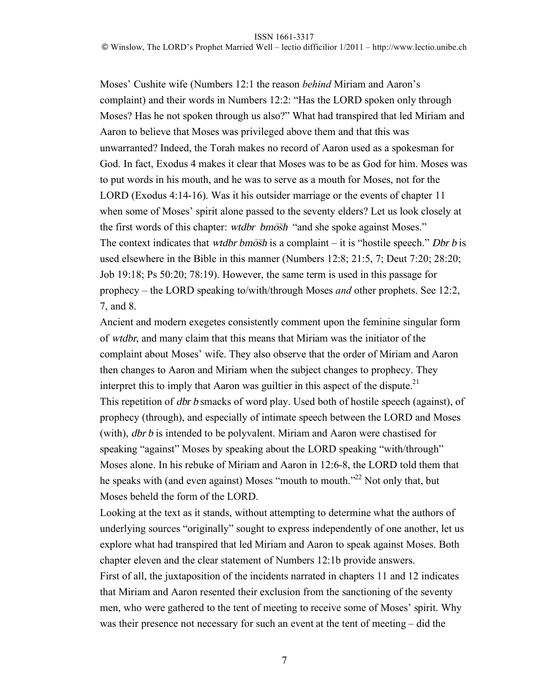Moses' Cushite wife (Numbers 12:1 the reason *behind* Miriam and Aaron's complaint) and their words in Numbers 12:2: "Has the LORD spoken only through Moses? Has he not spoken through us also?" What had transpired that led Miriam and Aaron to believe that Moses was privileged above them and that this was unwarranted? Indeed, the Torah makes no record of Aaron used as a spokesman for God. In fact, Exodus 4 makes it clear that Moses was to be as God for him. Moses was to put words in his mouth, and he was to serve as a mouth for Moses, not for the LORD (Exodus 4:14-16). Was it his outsider marriage or the events of chapter 11 when some of Moses' spirit alone passed to the seventy elders? Let us look closely at the first words of this chapter: wtdbr bmosh "and she spoke against Moses." The context indicates that *wtdbr bmosh* is a complaint – it is "hostile speech." *Dbr b* is used elsewhere in the Bible in this manner (Numbers 12:8; 21:5, 7; Deut 7:20; 28:20; Job 19:18; Ps 50:20; 78:19). However, the same term is used in this passage for prophecy – the LORD speaking to/with/through Moses *and* other prophets. See 12:2, 7, and 8.

Ancient and modern exegetes consistently comment upon the feminine singular form of wtdbr, and many claim that this means that Miriam was the initiator of the complaint about Moses' wife. They also observe that the order of Miriam and Aaron then changes to Aaron and Miriam when the subject changes to prophecy. They interpret this to imply that Aaron was guiltier in this aspect of the dispute.<sup>21</sup> This repetition of dbr b smacks of word play. Used both of hostile speech (against), of prophecy (through), and especially of intimate speech between the LORD and Moses (with), dbr b is intended to be polyvalent. Miriam and Aaron were chastised for speaking "against" Moses by speaking about the LORD speaking "with/through" Moses alone. In his rebuke of Miriam and Aaron in 12:6-8, the LORD told them that he speaks with (and even against) Moses "mouth to mouth."<sup>22</sup> Not only that, but Moses beheld the form of the LORD.

Looking at the text as it stands, without attempting to determine what the authors of underlying sources "originally" sought to express independently of one another, let us explore what had transpired that led Miriam and Aaron to speak against Moses. Both chapter eleven and the clear statement of Numbers 12:1b provide answers. First of all, the juxtaposition of the incidents narrated in chapters 11 and 12 indicates that Miriam and Aaron resented their exclusion from the sanctioning of the seventy men, who were gathered to the tent of meeting to receive some of Moses' spirit. Why was their presence not necessary for such an event at the tent of meeting – did the

7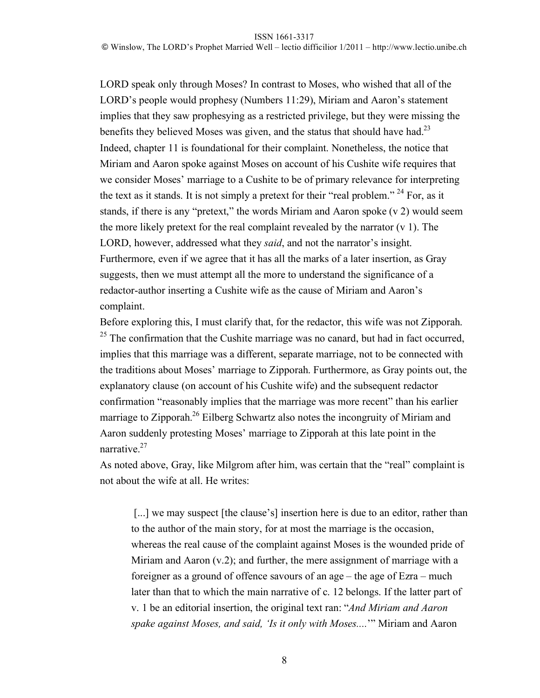LORD speak only through Moses? In contrast to Moses, who wished that all of the LORD's people would prophesy (Numbers 11:29), Miriam and Aaron's statement implies that they saw prophesying as a restricted privilege, but they were missing the benefits they believed Moses was given, and the status that should have had.<sup>23</sup> Indeed, chapter 11 is foundational for their complaint. Nonetheless, the notice that Miriam and Aaron spoke against Moses on account of his Cushite wife requires that we consider Moses' marriage to a Cushite to be of primary relevance for interpreting the text as it stands. It is not simply a pretext for their "real problem."<sup>24</sup> For, as it stands, if there is any "pretext," the words Miriam and Aaron spoke (v 2) would seem the more likely pretext for the real complaint revealed by the narrator  $(v 1)$ . The LORD, however, addressed what they *said*, and not the narrator's insight. Furthermore, even if we agree that it has all the marks of a later insertion, as Gray suggests, then we must attempt all the more to understand the significance of a redactor-author inserting a Cushite wife as the cause of Miriam and Aaron's complaint.

Before exploring this, I must clarify that, for the redactor, this wife was not Zipporah.  $25$  The confirmation that the Cushite marriage was no canard, but had in fact occurred, implies that this marriage was a different, separate marriage, not to be connected with the traditions about Moses' marriage to Zipporah. Furthermore, as Gray points out, the explanatory clause (on account of his Cushite wife) and the subsequent redactor confirmation "reasonably implies that the marriage was more recent" than his earlier marriage to Zipporah<sup>26</sup> Eilberg Schwartz also notes the incongruity of Miriam and Aaron suddenly protesting Moses' marriage to Zipporah at this late point in the narrative.<sup>27</sup>

As noted above, Gray, like Milgrom after him, was certain that the "real" complaint is not about the wife at all. He writes:

[...] we may suspect [the clause's] insertion here is due to an editor, rather than to the author of the main story, for at most the marriage is the occasion, whereas the real cause of the complaint against Moses is the wounded pride of Miriam and Aaron (v.2); and further, the mere assignment of marriage with a foreigner as a ground of offence savours of an age – the age of Ezra – much later than that to which the main narrative of c. 12 belongs. If the latter part of v. 1 be an editorial insertion, the original text ran: "*And Miriam and Aaron spake against Moses, and said, 'Is it only with Moses....*'" Miriam and Aaron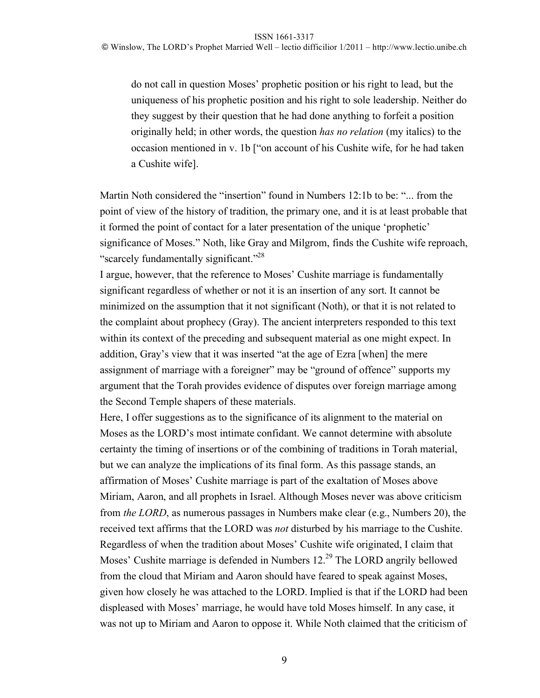do not call in question Moses' prophetic position or his right to lead, but the uniqueness of his prophetic position and his right to sole leadership. Neither do they suggest by their question that he had done anything to forfeit a position originally held; in other words, the question *has no relation* (my italics) to the occasion mentioned in v. 1b ["on account of his Cushite wife, for he had taken a Cushite wife].

Martin Noth considered the "insertion" found in Numbers 12:1b to be: "... from the point of view of the history of tradition, the primary one, and it is at least probable that it formed the point of contact for a later presentation of the unique 'prophetic' significance of Moses." Noth, like Gray and Milgrom, finds the Cushite wife reproach, "scarcely fundamentally significant."<sup>28</sup>

I argue, however, that the reference to Moses' Cushite marriage is fundamentally significant regardless of whether or not it is an insertion of any sort. It cannot be minimized on the assumption that it not significant (Noth), or that it is not related to the complaint about prophecy (Gray). The ancient interpreters responded to this text within its context of the preceding and subsequent material as one might expect. In addition, Gray's view that it was inserted "at the age of Ezra [when] the mere assignment of marriage with a foreigner" may be "ground of offence" supports my argument that the Torah provides evidence of disputes over foreign marriage among the Second Temple shapers of these materials.

Here, I offer suggestions as to the significance of its alignment to the material on Moses as the LORD's most intimate confidant. We cannot determine with absolute certainty the timing of insertions or of the combining of traditions in Torah material, but we can analyze the implications of its final form. As this passage stands, an affirmation of Moses' Cushite marriage is part of the exaltation of Moses above Miriam, Aaron, and all prophets in Israel. Although Moses never was above criticism from *the LORD*, as numerous passages in Numbers make clear (e.g., Numbers 20), the received text affirms that the LORD was *not* disturbed by his marriage to the Cushite. Regardless of when the tradition about Moses' Cushite wife originated, I claim that Moses' Cushite marriage is defended in Numbers  $12<sup>29</sup>$  The LORD angrily bellowed from the cloud that Miriam and Aaron should have feared to speak against Moses, given how closely he was attached to the LORD. Implied is that if the LORD had been displeased with Moses' marriage, he would have told Moses himself. In any case, it was not up to Miriam and Aaron to oppose it. While Noth claimed that the criticism of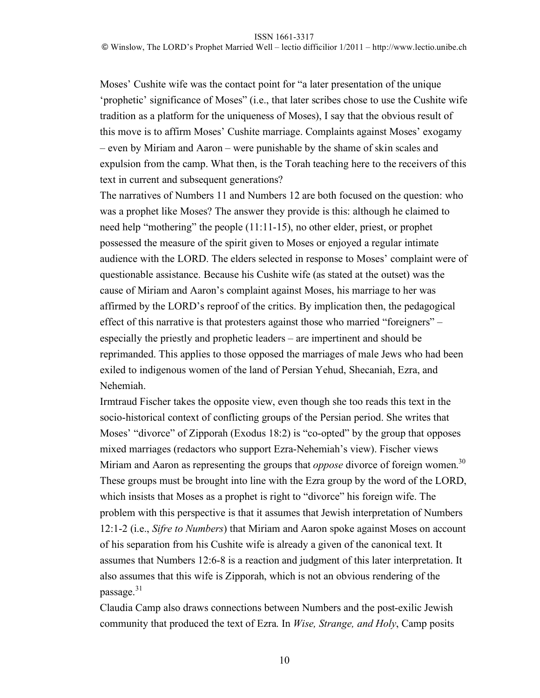Moses' Cushite wife was the contact point for "a later presentation of the unique 'prophetic' significance of Moses" (i.e., that later scribes chose to use the Cushite wife tradition as a platform for the uniqueness of Moses), I say that the obvious result of this move is to affirm Moses' Cushite marriage. Complaints against Moses' exogamy – even by Miriam and Aaron – were punishable by the shame of skin scales and expulsion from the camp. What then, is the Torah teaching here to the receivers of this text in current and subsequent generations?

The narratives of Numbers 11 and Numbers 12 are both focused on the question: who was a prophet like Moses? The answer they provide is this: although he claimed to need help "mothering" the people (11:11-15), no other elder, priest, or prophet possessed the measure of the spirit given to Moses or enjoyed a regular intimate audience with the LORD. The elders selected in response to Moses' complaint were of questionable assistance. Because his Cushite wife (as stated at the outset) was the cause of Miriam and Aaron's complaint against Moses, his marriage to her was affirmed by the LORD's reproof of the critics. By implication then, the pedagogical effect of this narrative is that protesters against those who married "foreigners" – especially the priestly and prophetic leaders – are impertinent and should be reprimanded. This applies to those opposed the marriages of male Jews who had been exiled to indigenous women of the land of Persian Yehud, Shecaniah, Ezra, and Nehemiah.

Irmtraud Fischer takes the opposite view, even though she too reads this text in the socio-historical context of conflicting groups of the Persian period. She writes that Moses' "divorce" of Zipporah (Exodus 18:2) is "co-opted" by the group that opposes mixed marriages (redactors who support Ezra-Nehemiah's view). Fischer views Miriam and Aaron as representing the groups that *oppose* divorce of foreign women. 30 These groups must be brought into line with the Ezra group by the word of the LORD, which insists that Moses as a prophet is right to "divorce" his foreign wife. The problem with this perspective is that it assumes that Jewish interpretation of Numbers 12:1-2 (i.e., *Sifre to Numbers*) that Miriam and Aaron spoke against Moses on account of his separation from his Cushite wife is already a given of the canonical text. It assumes that Numbers 12:6-8 is a reaction and judgment of this later interpretation. It also assumes that this wife is Zipporah, which is not an obvious rendering of the passage. $31$ 

Claudia Camp also draws connections between Numbers and the post-exilic Jewish community that produced the text of Ezra. In *Wise, Strange, and Holy*, Camp posits

10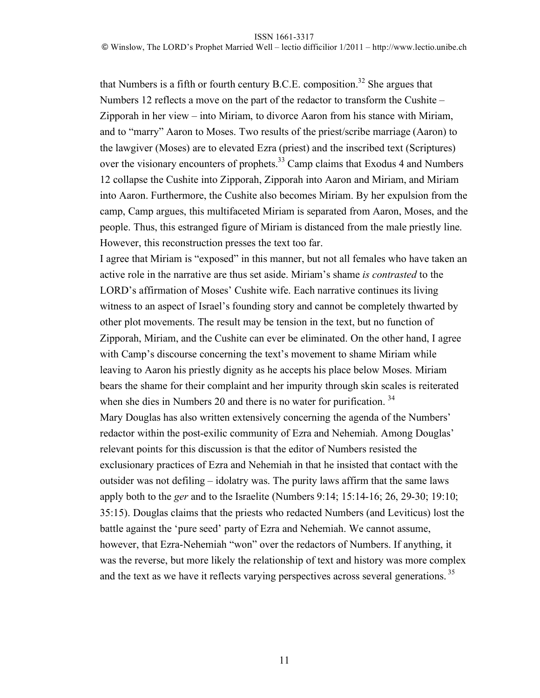that Numbers is a fifth or fourth century  $B.C.E.$  composition.<sup>32</sup> She argues that Numbers 12 reflects a move on the part of the redactor to transform the Cushite – Zipporah in her view – into Miriam, to divorce Aaron from his stance with Miriam, and to "marry" Aaron to Moses. Two results of the priest/scribe marriage (Aaron) to the lawgiver (Moses) are to elevated Ezra (priest) and the inscribed text (Scriptures) over the visionary encounters of prophets.<sup>33</sup> Camp claims that Exodus 4 and Numbers 12 collapse the Cushite into Zipporah, Zipporah into Aaron and Miriam, and Miriam into Aaron. Furthermore, the Cushite also becomes Miriam. By her expulsion from the camp, Camp argues, this multifaceted Miriam is separated from Aaron, Moses, and the people. Thus, this estranged figure of Miriam is distanced from the male priestly line. However, this reconstruction presses the text too far.

I agree that Miriam is "exposed" in this manner, but not all females who have taken an active role in the narrative are thus set aside. Miriam's shame *is contrasted* to the LORD's affirmation of Moses' Cushite wife. Each narrative continues its living witness to an aspect of Israel's founding story and cannot be completely thwarted by other plot movements. The result may be tension in the text, but no function of Zipporah, Miriam, and the Cushite can ever be eliminated. On the other hand, I agree with Camp's discourse concerning the text's movement to shame Miriam while leaving to Aaron his priestly dignity as he accepts his place below Moses. Miriam bears the shame for their complaint and her impurity through skin scales is reiterated when she dies in Numbers 20 and there is no water for purification.<sup>34</sup> Mary Douglas has also written extensively concerning the agenda of the Numbers' redactor within the post-exilic community of Ezra and Nehemiah. Among Douglas' relevant points for this discussion is that the editor of Numbers resisted the exclusionary practices of Ezra and Nehemiah in that he insisted that contact with the outsider was not defiling – idolatry was. The purity laws affirm that the same laws apply both to the *ger* and to the Israelite (Numbers 9:14; 15:14-16; 26, 29-30; 19:10; 35:15). Douglas claims that the priests who redacted Numbers (and Leviticus) lost the battle against the 'pure seed' party of Ezra and Nehemiah. We cannot assume, however, that Ezra-Nehemiah "won" over the redactors of Numbers. If anything, it was the reverse, but more likely the relationship of text and history was more complex and the text as we have it reflects varying perspectives across several generations.<sup>35</sup>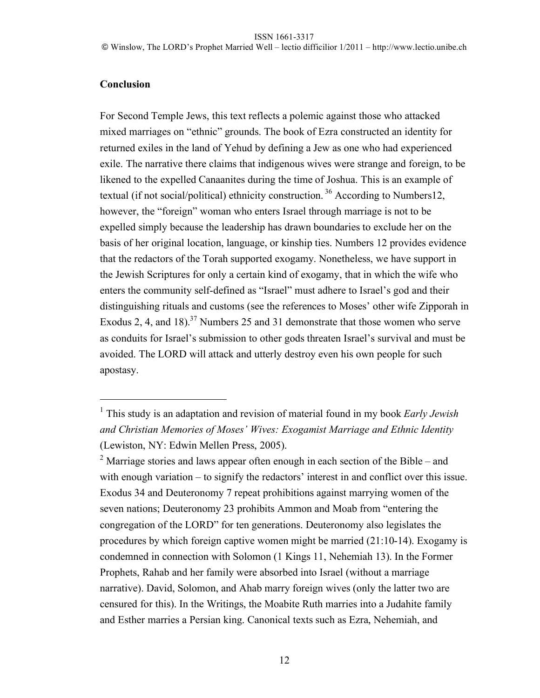# **Conclusion**

For Second Temple Jews, this text reflects a polemic against those who attacked mixed marriages on "ethnic" grounds. The book of Ezra constructed an identity for returned exiles in the land of Yehud by defining a Jew as one who had experienced exile. The narrative there claims that indigenous wives were strange and foreign, to be likened to the expelled Canaanites during the time of Joshua. This is an example of textual (if not social/political) ethnicity construction. 36 According to Numbers12, however, the "foreign" woman who enters Israel through marriage is not to be expelled simply because the leadership has drawn boundaries to exclude her on the basis of her original location, language, or kinship ties. Numbers 12 provides evidence that the redactors of the Torah supported exogamy. Nonetheless, we have support in the Jewish Scriptures for only a certain kind of exogamy, that in which the wife who enters the community self-defined as "Israel" must adhere to Israel's god and their distinguishing rituals and customs (see the references to Moses' other wife Zipporah in Exodus 2, 4, and 18).<sup>37</sup> Numbers 25 and 31 demonstrate that those women who serve as conduits for Israel's submission to other gods threaten Israel's survival and must be avoided. The LORD will attack and utterly destroy even his own people for such apostasy.

 $\overline{1}$  This study is an adaptation and revision of material found in my book *Early Jewish and Christian Memories of Moses' Wives: Exogamist Marriage and Ethnic Identity* (Lewiston, NY: Edwin Mellen Press, 2005).

<sup>&</sup>lt;sup>2</sup> Marriage stories and laws appear often enough in each section of the Bible – and with enough variation – to signify the redactors' interest in and conflict over this issue. Exodus 34 and Deuteronomy 7 repeat prohibitions against marrying women of the seven nations; Deuteronomy 23 prohibits Ammon and Moab from "entering the congregation of the LORD" for ten generations. Deuteronomy also legislates the procedures by which foreign captive women might be married (21:10-14). Exogamy is condemned in connection with Solomon (1 Kings 11, Nehemiah 13). In the Former Prophets, Rahab and her family were absorbed into Israel (without a marriage narrative). David, Solomon, and Ahab marry foreign wives (only the latter two are censured for this). In the Writings, the Moabite Ruth marries into a Judahite family and Esther marries a Persian king. Canonical texts such as Ezra, Nehemiah, and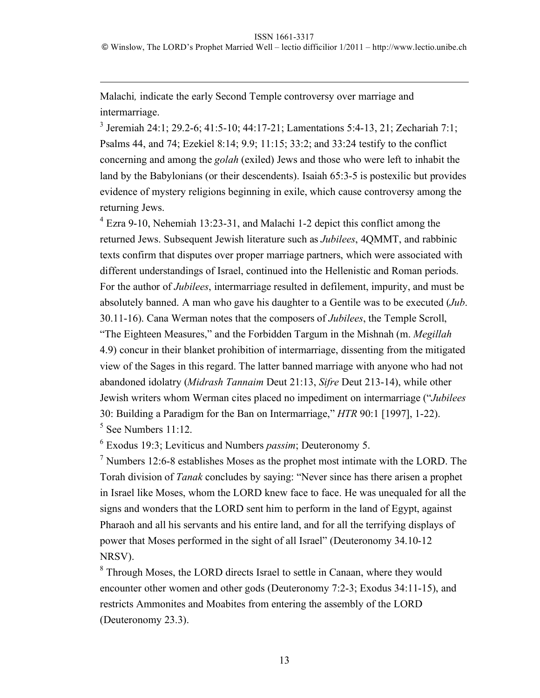Malachi*,* indicate the early Second Temple controversy over marriage and intermarriage.

 $\overline{a}$ 

3 Jeremiah 24:1; 29.2-6; 41:5-10; 44:17-21; Lamentations 5:4-13, 21; Zechariah 7:1; Psalms 44, and 74; Ezekiel 8:14; 9.9; 11:15; 33:2; and 33:24 testify to the conflict concerning and among the *golah* (exiled) Jews and those who were left to inhabit the land by the Babylonians (or their descendents). Isaiah 65:3-5 is postexilic but provides evidence of mystery religions beginning in exile, which cause controversy among the returning Jews.

<sup>4</sup> Ezra 9-10, Nehemiah 13:23-31, and Malachi 1-2 depict this conflict among the returned Jews. Subsequent Jewish literature such as *Jubilees*, 4QMMT, and rabbinic texts confirm that disputes over proper marriage partners, which were associated with different understandings of Israel, continued into the Hellenistic and Roman periods. For the author of *Jubilees*, intermarriage resulted in defilement, impurity, and must be absolutely banned. A man who gave his daughter to a Gentile was to be executed (*Jub*. 30.11-16). Cana Werman notes that the composers of *Jubilees*, the Temple Scroll, "The Eighteen Measures," and the Forbidden Targum in the Mishnah (m. *Megillah* 4.9) concur in their blanket prohibition of intermarriage, dissenting from the mitigated view of the Sages in this regard. The latter banned marriage with anyone who had not abandoned idolatry (*Midrash Tannaim* Deut 21:13, *Sifre* Deut 213-14), while other Jewish writers whom Werman cites placed no impediment on intermarriage ("*Jubilees* 30: Building a Paradigm for the Ban on Intermarriage," *HTR* 90:1 [1997], 1-22). 5 See Numbers 11:12.

6 Exodus 19:3; Leviticus and Numbers *passim*; Deuteronomy 5.

 $<sup>7</sup>$  Numbers 12:6-8 establishes Moses as the prophet most intimate with the LORD. The</sup> Torah division of *Tanak* concludes by saying: "Never since has there arisen a prophet in Israel like Moses, whom the LORD knew face to face. He was unequaled for all the signs and wonders that the LORD sent him to perform in the land of Egypt, against Pharaoh and all his servants and his entire land, and for all the terrifying displays of power that Moses performed in the sight of all Israel" (Deuteronomy 34.10-12 NRSV).

<sup>8</sup> Through Moses, the LORD directs Israel to settle in Canaan, where they would encounter other women and other gods (Deuteronomy 7:2-3; Exodus 34:11-15), and restricts Ammonites and Moabites from entering the assembly of the LORD (Deuteronomy 23.3).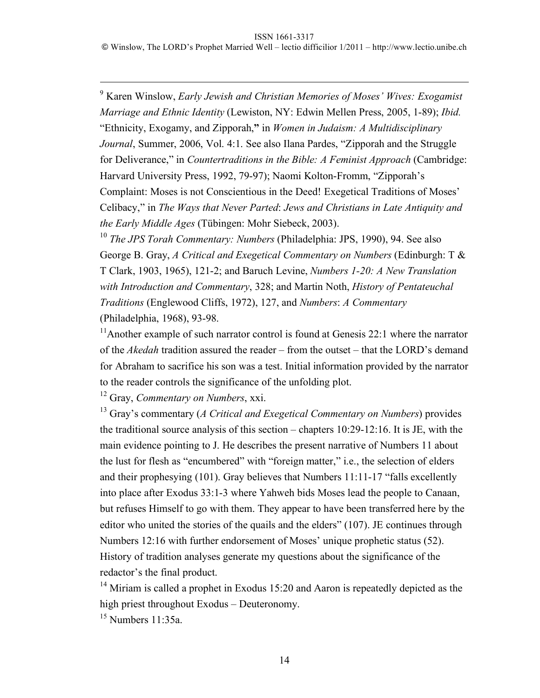.<br>9 Karen Winslow, *Early Jewish and Christian Memories of Moses' Wives: Exogamist Marriage and Ethnic Identity* (Lewiston, NY: Edwin Mellen Press, 2005, 1-89); *Ibid.* "Ethnicity, Exogamy, and Zipporah,**"** in *Women in Judaism: A Multidisciplinary Journal*, Summer, 2006, Vol. 4:1. See also Ilana Pardes, "Zipporah and the Struggle for Deliverance," in *Countertraditions in the Bible: A Feminist Approach* (Cambridge: Harvard University Press, 1992, 79-97); Naomi Kolton-Fromm, "Zipporah's Complaint: Moses is not Conscientious in the Deed! Exegetical Traditions of Moses' Celibacy," in *The Ways that Never Parted*: *Jews and Christians in Late Antiquity and the Early Middle Ages* (Tübingen: Mohr Siebeck, 2003).

<sup>10</sup> *The JPS Torah Commentary: Numbers* (Philadelphia: JPS, 1990), 94. See also George B. Gray, *A Critical and Exegetical Commentary on Numbers* (Edinburgh: T & T Clark, 1903, 1965), 121-2; and Baruch Levine, *Numbers 1-20: A New Translation with Introduction and Commentary*, 328; and Martin Noth, *History of Pentateuchal Traditions* (Englewood Cliffs, 1972), 127, and *Numbers*: *A Commentary* (Philadelphia, 1968), 93-98.

<sup>11</sup>Another example of such narrator control is found at Genesis 22:1 where the narrator of the *Akedah* tradition assured the reader – from the outset – that the LORD's demand for Abraham to sacrifice his son was a test. Initial information provided by the narrator to the reader controls the significance of the unfolding plot.

12 Gray, *Commentary on Numbers*, xxi.

13 Gray's commentary (*A Critical and Exegetical Commentary on Numbers*) provides the traditional source analysis of this section – chapters 10:29-12:16. It is JE, with the main evidence pointing to J. He describes the present narrative of Numbers 11 about the lust for flesh as "encumbered" with "foreign matter," i.e., the selection of elders and their prophesying (101). Gray believes that Numbers 11:11-17 "falls excellently into place after Exodus 33:1-3 where Yahweh bids Moses lead the people to Canaan, but refuses Himself to go with them. They appear to have been transferred here by the editor who united the stories of the quails and the elders" (107). JE continues through Numbers 12:16 with further endorsement of Moses' unique prophetic status (52). History of tradition analyses generate my questions about the significance of the redactor's the final product.

 $14$  Miriam is called a prophet in Exodus 15:20 and Aaron is repeatedly depicted as the high priest throughout Exodus – Deuteronomy.

 $15$  Numbers 11:35a.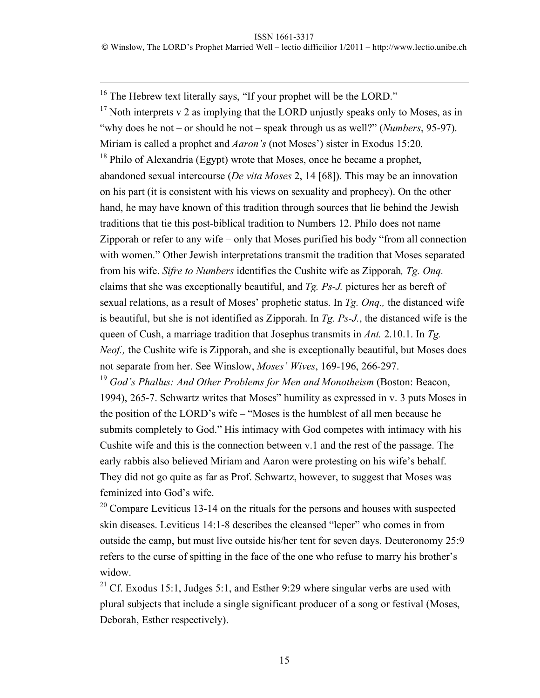$16$  The Hebrew text literally says, "If your prophet will be the LORD."  $17$  Noth interprets v 2 as implying that the LORD unjustly speaks only to Moses, as in "why does he not – or should he not – speak through us as well?" (*Numbers*, 95-97). Miriam is called a prophet and *Aaron's* (not Moses') sister in Exodus 15:20.

 $18$  Philo of Alexandria (Egypt) wrote that Moses, once he became a prophet, abandoned sexual intercourse (*De vita Moses* 2, 14 [68]). This may be an innovation on his part (it is consistent with his views on sexuality and prophecy). On the other hand, he may have known of this tradition through sources that lie behind the Jewish traditions that tie this post-biblical tradition to Numbers 12. Philo does not name Zipporah or refer to any wife – only that Moses purified his body "from all connection with women." Other Jewish interpretations transmit the tradition that Moses separated from his wife. *Sifre to Numbers* identifies the Cushite wife as Zipporah*, Tg. Onq.* claims that she was exceptionally beautiful, and *Tg. Ps-J.* pictures her as bereft of sexual relations, as a result of Moses' prophetic status. In *Tg. Onq.,* the distanced wife is beautiful, but she is not identified as Zipporah. In *Tg. Ps-J.*, the distanced wife is the queen of Cush, a marriage tradition that Josephus transmits in *Ant.* 2.10.1. In *Tg. Neof.*, the Cushite wife is Zipporah, and she is exceptionally beautiful, but Moses does not separate from her. See Winslow, *Moses' Wives*, 169-196, 266-297.

<sup>19</sup> *God's Phallus: And Other Problems for Men and Monotheism* (Boston: Beacon, 1994), 265-7. Schwartz writes that Moses" humility as expressed in v. 3 puts Moses in the position of the LORD's wife – "Moses is the humblest of all men because he submits completely to God." His intimacy with God competes with intimacy with his Cushite wife and this is the connection between v.1 and the rest of the passage. The early rabbis also believed Miriam and Aaron were protesting on his wife's behalf. They did not go quite as far as Prof. Schwartz, however, to suggest that Moses was feminized into God's wife.

 $20^{\circ}$  Compare Leviticus 13-14 on the rituals for the persons and houses with suspected skin diseases. Leviticus 14:1-8 describes the cleansed "leper" who comes in from outside the camp, but must live outside his/her tent for seven days. Deuteronomy 25:9 refers to the curse of spitting in the face of the one who refuse to marry his brother's widow.

<sup>21</sup> Cf. Exodus 15:1, Judges 5:1, and Esther 9:29 where singular verbs are used with plural subjects that include a single significant producer of a song or festival (Moses, Deborah, Esther respectively).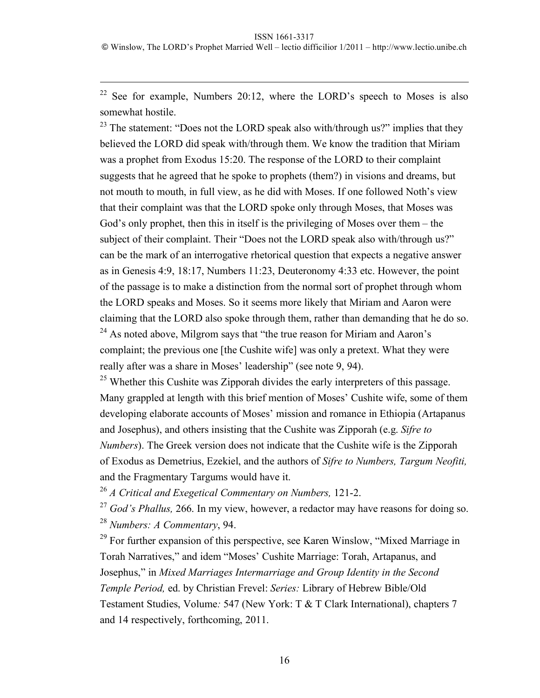<sup>22</sup> See for example, Numbers 20:12, where the LORD's speech to Moses is also somewhat hostile.

 $23$  The statement: "Does not the LORD speak also with/through us?" implies that they believed the LORD did speak with/through them. We know the tradition that Miriam was a prophet from Exodus 15:20. The response of the LORD to their complaint suggests that he agreed that he spoke to prophets (them?) in visions and dreams, but not mouth to mouth, in full view, as he did with Moses. If one followed Noth's view that their complaint was that the LORD spoke only through Moses, that Moses was God's only prophet, then this in itself is the privileging of Moses over them – the subject of their complaint. Their "Does not the LORD speak also with/through us?" can be the mark of an interrogative rhetorical question that expects a negative answer as in Genesis 4:9, 18:17, Numbers 11:23, Deuteronomy 4:33 etc. However, the point of the passage is to make a distinction from the normal sort of prophet through whom the LORD speaks and Moses. So it seems more likely that Miriam and Aaron were claiming that the LORD also spoke through them, rather than demanding that he do so.  $24$  As noted above, Milgrom says that "the true reason for Miriam and Aaron's

complaint; the previous one [the Cushite wife] was only a pretext. What they were really after was a share in Moses' leadership" (see note 9, 94).

 $^{25}$  Whether this Cushite was Zipporah divides the early interpreters of this passage. Many grappled at length with this brief mention of Moses' Cushite wife, some of them developing elaborate accounts of Moses' mission and romance in Ethiopia (Artapanus and Josephus), and others insisting that the Cushite was Zipporah (e.g. *Sifre to Numbers*). The Greek version does not indicate that the Cushite wife is the Zipporah of Exodus as Demetrius, Ezekiel, and the authors of *Sifre to Numbers, Targum Neofiti,*  and the Fragmentary Targums would have it.

<sup>26</sup> *A Critical and Exegetical Commentary on Numbers,* 121-2.

<sup>27</sup> *God's Phallus,* 266. In my view, however, a redactor may have reasons for doing so. <sup>28</sup> *Numbers: A Commentary*, 94.

 $29$  For further expansion of this perspective, see Karen Winslow, "Mixed Marriage in Torah Narratives," and idem "Moses' Cushite Marriage: Torah, Artapanus, and Josephus," in *Mixed Marriages Intermarriage and Group Identity in the Second Temple Period,* ed. by Christian Frevel: *Series:* Library of Hebrew Bible/Old Testament Studies, Volume*:* 547 (New York: T & T Clark International), chapters 7 and 14 respectively, forthcoming, 2011.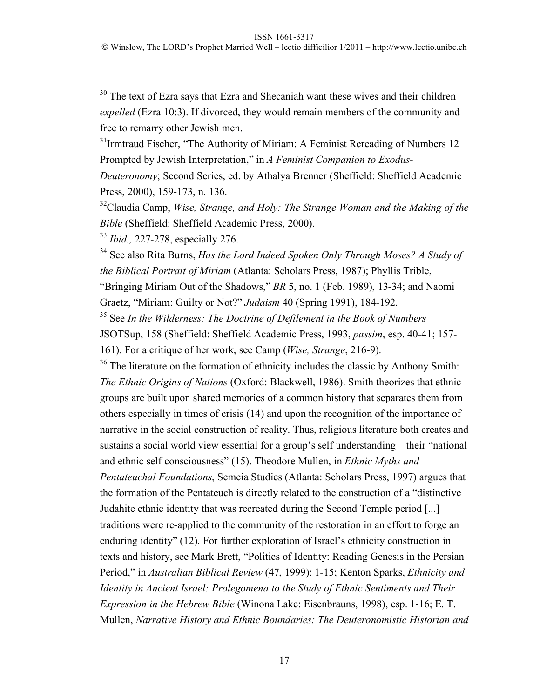$30$  The text of Ezra says that Ezra and Shecaniah want these wives and their children *expelled* (Ezra 10:3). If divorced, they would remain members of the community and free to remarry other Jewish men.

<sup>31</sup> Irmtraud Fischer, "The Authority of Miriam: A Feminist Rereading of Numbers 12 Prompted by Jewish Interpretation," in *A Feminist Companion to Exodus-*

*Deuteronomy*; Second Series, ed. by Athalya Brenner (Sheffield: Sheffield Academic Press, 2000), 159-173, n. 136.

<sup>32</sup>Claudia Camp, *Wise, Strange, and Holy: The Strange Woman and the Making of the Bible* (Sheffield: Sheffield Academic Press, 2000).

<sup>33</sup> *Ibid.,* 227-278, especially 276.

34 See also Rita Burns, *Has the Lord Indeed Spoken Only Through Moses? A Study of the Biblical Portrait of Miriam* (Atlanta: Scholars Press, 1987); Phyllis Trible, "Bringing Miriam Out of the Shadows," *BR* 5, no. 1 (Feb. 1989), 13-34; and Naomi

Graetz, "Miriam: Guilty or Not?" *Judaism* 40 (Spring 1991), 184-192.

35 See *In the Wilderness: The Doctrine of Defilement in the Book of Numbers*  JSOTSup, 158 (Sheffield: Sheffield Academic Press, 1993, *passim*, esp. 40-41; 157- 161). For a critique of her work, see Camp (*Wise, Strange*, 216-9).

<sup>36</sup> The literature on the formation of ethnicity includes the classic by Anthony Smith: *The Ethnic Origins of Nations* (Oxford: Blackwell, 1986). Smith theorizes that ethnic groups are built upon shared memories of a common history that separates them from others especially in times of crisis (14) and upon the recognition of the importance of narrative in the social construction of reality. Thus, religious literature both creates and sustains a social world view essential for a group's self understanding – their "national and ethnic self consciousness" (15). Theodore Mullen, in *Ethnic Myths and Pentateuchal Foundations*, Semeia Studies (Atlanta: Scholars Press, 1997) argues that the formation of the Pentateuch is directly related to the construction of a "distinctive Judahite ethnic identity that was recreated during the Second Temple period [...] traditions were re-applied to the community of the restoration in an effort to forge an enduring identity" (12). For further exploration of Israel's ethnicity construction in texts and history, see Mark Brett, "Politics of Identity: Reading Genesis in the Persian Period," in *Australian Biblical Review* (47, 1999): 1-15; Kenton Sparks, *Ethnicity and Identity in Ancient Israel: Prolegomena to the Study of Ethnic Sentiments and Their Expression in the Hebrew Bible* (Winona Lake: Eisenbrauns, 1998), esp. 1-16; E. T. Mullen, *Narrative History and Ethnic Boundaries: The Deuteronomistic Historian and*